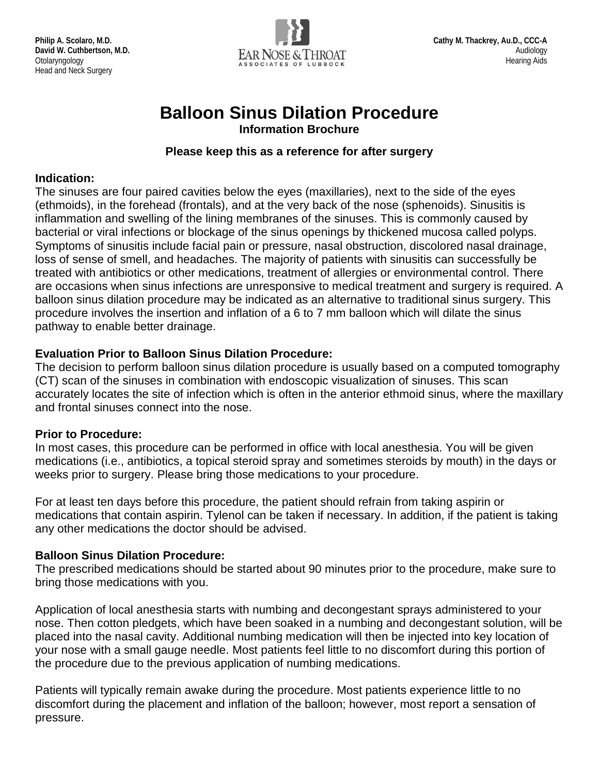

# **Balloon Sinus Dilation Procedure**

**Information Brochure**

#### **Please keep this as a reference for after surgery**

#### **Indication:**

The sinuses are four paired cavities below the eyes (maxillaries), next to the side of the eyes (ethmoids), in the forehead (frontals), and at the very back of the nose (sphenoids). Sinusitis is inflammation and swelling of the lining membranes of the sinuses. This is commonly caused by bacterial or viral infections or blockage of the sinus openings by thickened mucosa called polyps. Symptoms of sinusitis include facial pain or pressure, nasal obstruction, discolored nasal drainage, loss of sense of smell, and headaches. The majority of patients with sinusitis can successfully be treated with antibiotics or other medications, treatment of allergies or environmental control. There are occasions when sinus infections are unresponsive to medical treatment and surgery is required. A balloon sinus dilation procedure may be indicated as an alternative to traditional sinus surgery. This procedure involves the insertion and inflation of a 6 to 7 mm balloon which will dilate the sinus pathway to enable better drainage.

### **Evaluation Prior to Balloon Sinus Dilation Procedure:**

The decision to perform balloon sinus dilation procedure is usually based on a computed tomography (CT) scan of the sinuses in combination with endoscopic visualization of sinuses. This scan accurately locates the site of infection which is often in the anterior ethmoid sinus, where the maxillary and frontal sinuses connect into the nose.

### **Prior to Procedure:**

In most cases, this procedure can be performed in office with local anesthesia. You will be given medications (i.e., antibiotics, a topical steroid spray and sometimes steroids by mouth) in the days or weeks prior to surgery. Please bring those medications to your procedure.

For at least ten days before this procedure, the patient should refrain from taking aspirin or medications that contain aspirin. Tylenol can be taken if necessary. In addition, if the patient is taking any other medications the doctor should be advised.

### **Balloon Sinus Dilation Procedure:**

The prescribed medications should be started about 90 minutes prior to the procedure, make sure to bring those medications with you.

Application of local anesthesia starts with numbing and decongestant sprays administered to your nose. Then cotton pledgets, which have been soaked in a numbing and decongestant solution, will be placed into the nasal cavity. Additional numbing medication will then be injected into key location of your nose with a small gauge needle. Most patients feel little to no discomfort during this portion of the procedure due to the previous application of numbing medications.

Patients will typically remain awake during the procedure. Most patients experience little to no discomfort during the placement and inflation of the balloon; however, most report a sensation of pressure.